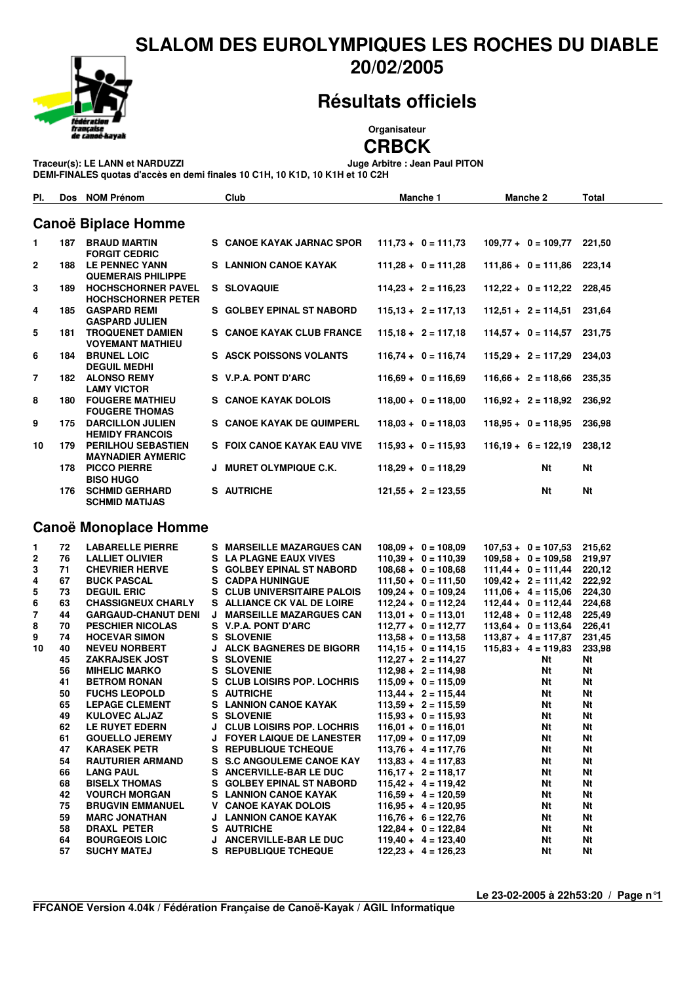### **SLALOM DES EUROLYMPIQUES LES ROCHES DU DIABLE 20/02/2005**



## **Résultats officiels**

**Organisateur**

 $T$ raceur(s): LE LANN et **NARDUZZI** 

**CRBCK**<br>Juge Arbitre : Jean Paul PITON

**DEMI-FINALES quotas d'accès en demi finales 10 C1H, 10 K1D, 10 K1H et 10 C2H**

| PI.                        |     | Dos NOM Prénom                                         |  | <b>Club</b>                    | Manche 1              |  | Manche 2                     |    | Total     |  |
|----------------------------|-----|--------------------------------------------------------|--|--------------------------------|-----------------------|--|------------------------------|----|-----------|--|
| <b>Canoë Biplace Homme</b> |     |                                                        |  |                                |                       |  |                              |    |           |  |
| 1.                         | 187 | <b>BRAUD MARTIN</b><br><b>FORGIT CEDRIC</b>            |  | S CANOE KAYAK JARNAC SPOR      | $111,73 + 0 = 111,73$ |  | $109.77 + 0 = 109.77$        |    | 221.50    |  |
| $\mathbf{2}$               | 188 | LE PENNEC YANN<br><b>QUEMERAIS PHILIPPE</b>            |  | <b>S</b> LANNION CANOE KAYAK   | $111,28 + 0 = 111,28$ |  | $111,86 + 0 = 111,86$ 223,14 |    |           |  |
| 3                          | 189 | <b>HOCHSCHORNER PAVEL</b><br><b>HOCHSCHORNER PETER</b> |  | S SLOVAQUIE                    | $114.23 + 2 = 116.23$ |  | $112,22 + 0 = 112,22$ 228,45 |    |           |  |
| 4                          | 185 | <b>GASPARD REMI</b><br><b>GASPARD JULIEN</b>           |  | S GOLBEY EPINAL ST NABORD      | $115.13 + 2 = 117.13$ |  | $112.51 + 2 = 114.51$        |    | 231.64    |  |
| 5                          | 181 | <b>TROQUENET DAMIEN</b><br><b>VOYEMANT MATHIEU</b>     |  | S CANOE KAYAK CLUB FRANCE      | $115.18 + 2 = 117.18$ |  | $114,57 + 0 = 114,57$        |    | 231.75    |  |
| 6                          | 184 | <b>BRUNEL LOIC</b><br><b>DEGUIL MEDHI</b>              |  | <b>S ASCK POISSONS VOLANTS</b> | $116,74 + 0 = 116,74$ |  | $115.29 + 2 = 117.29$        |    | 234.03    |  |
| 7                          | 182 | <b>ALONSO REMY</b><br><b>LAMY VICTOR</b>               |  | S V.P.A. PONT D'ARC            | $116,69 + 0 = 116,69$ |  | $116,66 + 2 = 118,66$        |    | 235,35    |  |
| 8                          | 180 | <b>FOUGERE MATHIEU</b><br><b>FOUGERE THOMAS</b>        |  | S CANOE KAYAK DOLOIS           | $118.00 + 0 = 118.00$ |  | $116,92 + 2 = 118,92$        |    | 236.92    |  |
| 9                          | 175 | <b>DARCILLON JULIEN</b><br><b>HEMIDY FRANCOIS</b>      |  | S CANOE KAYAK DE QUIMPERL      | $118.03 + 0 = 118.03$ |  | $118.95 + 0 = 118.95$        |    | 236.98    |  |
| 10                         | 179 | <b>PERILHOU SEBASTIEN</b><br><b>MAYNADIER AYMERIC</b>  |  | S FOIX CANOE KAYAK EAU VIVE    | $115,93 + 0 = 115,93$ |  | $116,19 + 6 = 122,19$        |    | 238,12    |  |
|                            | 178 | <b>PICCO PIERRE</b><br><b>BISO HUGO</b>                |  | J MURET OLYMPIQUE C.K.         | $118,29 + 0 = 118,29$ |  |                              | Nt | Nt        |  |
|                            | 176 | <b>SCHMID GERHARD</b><br><b>SCHMID MATIJAS</b>         |  | S AUTRICHE                     | $121,55 + 2 = 123,55$ |  |                              | Nt | <b>Nt</b> |  |

#### **Canoë Monoplace Homme**

| 1              | 72 | <b>LABARELLE PIERRE</b>    |   | S MARSEILLE MAZARGUES CAN          | $108,09 + 0 = 108,09$ | $107,53 + 0 = 107,53$ | 215,62    |
|----------------|----|----------------------------|---|------------------------------------|-----------------------|-----------------------|-----------|
| $\mathbf{2}$   | 76 | <b>LALLIET OLIVIER</b>     |   | S LA PLAGNE EAUX VIVES             | $110.39 + 0 = 110.39$ | $109.58 + 0 = 109.58$ | 219.97    |
| 3              | 71 | <b>CHEVRIER HERVE</b>      |   | S GOLBEY EPINAL ST NABORD          | $108.68 + 0 = 108.68$ | $111,44 + 0 = 111,44$ | 220,12    |
| 4              | 67 | <b>BUCK PASCAL</b>         |   | <b>S</b> CADPA HUNINGUE            | $111.50 + 0 = 111.50$ | $109.42 + 2 = 111.42$ | 222,92    |
| 5              | 73 | <b>DEGUIL ERIC</b>         |   | S CLUB UNIVERSITAIRE PALOIS        | $109,24 + 0 = 109,24$ | $111.06 + 4 = 115.06$ | 224,30    |
| 6              | 63 | <b>CHASSIGNEUX CHARLY</b>  |   | S ALLIANCE CK VAL DE LOIRE         | $112.24 + 0 = 112.24$ | $112.44 + 0 = 112.44$ | 224,68    |
| $\overline{7}$ | 44 | <b>GARGAUD-CHANUT DENI</b> | J | <b>MARSEILLE MAZARGUES CAN</b>     | $113.01 + 0 = 113.01$ | $112.48 + 0 = 112.48$ | 225,49    |
| 8              | 70 | <b>PESCHIER NICOLAS</b>    |   | S V.P.A. PONT D'ARC                | $112,77 + 0 = 112,77$ | $113.64 + 0 = 113.64$ | 226,41    |
| 9              | 74 | <b>HOCEVAR SIMON</b>       |   | <b>S SLOVENIE</b>                  | $113.58 + 0 = 113.58$ | $113.87 + 4 = 117.87$ | 231,45    |
| 10             | 40 | <b>NEVEU NORBERT</b>       |   | J ALCK BAGNERES DE BIGORR          | $114.15 + 0 = 114.15$ | $115.83 + 4 = 119.83$ | 233,98    |
|                | 45 | <b>ZAKRAJSEK JOST</b>      |   | <b>S SLOVENIE</b>                  | $112.27 + 2 = 114.27$ | Nt                    | Nt        |
|                | 56 | <b>MIHELIC MARKO</b>       |   | <b>S SLOVENIE</b>                  | $112.98 + 2 = 114.98$ | Nt                    | Nt        |
|                | 41 | <b>BETROM RONAN</b>        |   | S CLUB LOISIRS POP. LOCHRIS        | $115.09 + 0 = 115.09$ | Nt                    | Nt        |
|                | 50 | <b>FUCHS LEOPOLD</b>       |   | S AUTRICHE                         | $113.44 + 2 = 115.44$ | Nt                    | Nt        |
|                | 65 | <b>LEPAGE CLEMENT</b>      |   | S LANNION CANOE KAYAK              | $113.59 + 2 = 115.59$ | Nt                    | <b>Nt</b> |
|                | 49 | <b>KULOVEC ALJAZ</b>       |   | <b>S SLOVENIE</b>                  | $115.93 + 0 = 115.93$ | Nt                    | <b>Nt</b> |
|                | 62 | <b>LE RUYET EDERN</b>      |   | <b>J CLUB LOISIRS POP. LOCHRIS</b> | $116.01 + 0 = 116.01$ | Nt                    | <b>Nt</b> |
|                | 61 | <b>GOUELLO JEREMY</b>      |   | <b>J FOYER LAIQUE DE LANESTER</b>  | $117.09 + 0 = 117.09$ | Nt                    | <b>Nt</b> |
|                | 47 | <b>KARASEK PETR</b>        |   | <b>S</b> REPUBLIQUE TCHEQUE        | $113.76 + 4 = 117.76$ | Nt                    | <b>Nt</b> |
|                | 54 | <b>RAUTURIER ARMAND</b>    |   | S S.C ANGOULEME CANOE KAY          | $113.83 + 4 = 117.83$ | Nt                    | <b>Nt</b> |
|                | 66 | <b>LANG PAUL</b>           |   | S ANCERVILLE-BAR LE DUC            | $116,17 + 2 = 118,17$ | Nt                    | <b>Nt</b> |
|                | 68 | <b>BISELX THOMAS</b>       |   | S GOLBEY EPINAL ST NABORD          | $115.42 + 4 = 119.42$ | Nt                    | <b>Nt</b> |
|                | 42 | <b>VOURCH MORGAN</b>       |   | S LANNION CANOE KAYAK              | $116.59 + 4 = 120.59$ | Nt                    | Nt        |
|                | 75 | <b>BRUGVIN EMMANUEL</b>    |   | <b>V CANOE KAYAK DOLOIS</b>        | $116.95 + 4 = 120.95$ | Nt                    | <b>Nt</b> |
|                | 59 | <b>MARC JONATHAN</b>       |   | J LANNION CANOE KAYAK              | $116.76 + 6 = 122.76$ | Nt                    | <b>Nt</b> |
|                | 58 | DRAXL PETER                |   | S AUTRICHE                         | $122.84 + 0 = 122.84$ | Nt                    | <b>Nt</b> |
|                | 64 | <b>BOURGEOIS LOIC</b>      |   | J ANCERVILLE-BAR LE DUC            | $119.40 + 4 = 123.40$ | Nt                    | <b>Nt</b> |
|                | 57 | <b>SUCHY MATEJ</b>         |   | S REPUBLIQUE TCHEQUE               | $122.23 + 4 = 126.23$ | Nt                    | <b>Nt</b> |
|                |    |                            |   |                                    |                       |                       |           |

**Le 23-02-2005 à 22h53:20 / Page n°1**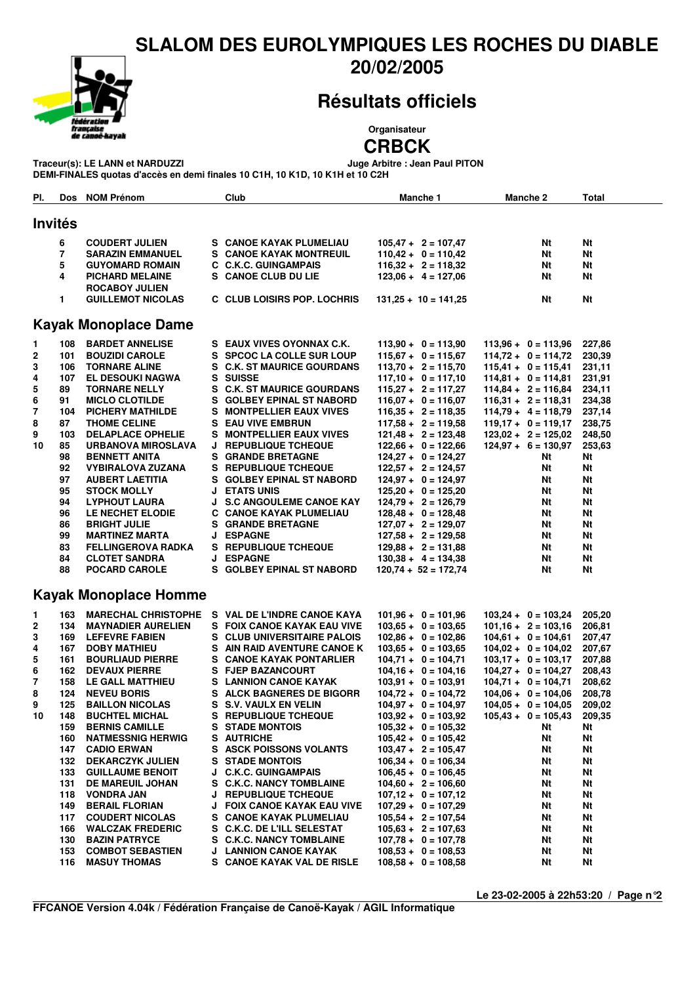### **SLALOM DES EUROLYMPIQUES LES ROCHES DU DIABLE 20/02/2005**



# **Résultats officiels**

**Organisateur**

**CRBCK**<br>Juge Arbitre : Jean Paul PITON  $T$ raceur(s): LE LANN et NARDUZZI

**DEMI-FINALES quotas d'accès en demi finales 10 C1H, 10 K1D, 10 K1H et 10 C2H**

| PI.                          | Dos            | <b>NOM Prénom</b>           |    | Club                           | Manche 1               |  | <b>Manche 2</b>              | Total  |  |
|------------------------------|----------------|-----------------------------|----|--------------------------------|------------------------|--|------------------------------|--------|--|
| <b>Invités</b>               |                |                             |    |                                |                        |  |                              |        |  |
|                              |                |                             |    |                                |                        |  |                              |        |  |
|                              | 6              | <b>COUDERT JULIEN</b>       |    | S CANOE KAYAK PLUMELIAU        | $105,47 + 2 = 107,47$  |  | Nt                           | Nt     |  |
|                              | $\overline{7}$ | <b>SARAZIN EMMANUEL</b>     |    | <b>S CANOE KAYAK MONTREUIL</b> | $110,42 + 0 = 110,42$  |  | Nt                           | Nt     |  |
|                              | 5              | <b>GUYOMARD ROMAIN</b>      |    | <b>C. C.K.C. GUINGAMPAIS</b>   | $116,32 + 2 = 118,32$  |  | Nt                           | Nt     |  |
|                              | 4              | <b>PICHARD MELAINE</b>      |    | <b>S CANOE CLUB DU LIE</b>     | $123.06 + 4 = 127.06$  |  | Nt                           | Nt     |  |
|                              |                | ROCABOY JULIEN              |    |                                |                        |  |                              |        |  |
|                              | 1.             | <b>GUILLEMOT NICOLAS</b>    |    | C CLUB LOISIRS POP. LOCHRIS    | $131,25 + 10 = 141,25$ |  | Nt                           | Nt     |  |
|                              |                | <b>Kayak Monoplace Dame</b> |    |                                |                        |  |                              |        |  |
| 1.                           | 108            | <b>BARDET ANNELISE</b>      |    | S EAUX VIVES OYONNAX C.K.      | $113,90 + 0 = 113,90$  |  | $113,96 + 0 = 113,96$        | 227,86 |  |
| $\mathbf{2}$                 | 101            | <b>BOUZIDI CAROLE</b>       |    | S SPCOC LA COLLE SUR LOUP      | $115,67 + 0 = 115,67$  |  | $114,72 + 0 = 114,72$        | 230,39 |  |
| 3                            | 106            | <b>TORNARE ALINE</b>        |    | S C.K. ST MAURICE GOURDANS     | $113,70 + 2 = 115,70$  |  | $115,41 + 0 = 115,41$        | 231,11 |  |
| 4                            | 107            | <b>EL DESOUKI NAGWA</b>     |    | S SUISSE                       | $117,10 + 0 = 117,10$  |  | $114,81 + 0 = 114,81$        | 231,91 |  |
| 5                            | 89             | <b>TORNARE NELLY</b>        |    | S C.K. ST MAURICE GOURDANS     | $115,27 + 2 = 117,27$  |  | $114,84 + 2 = 116,84$        | 234,11 |  |
| 6                            | 91             | <b>MICLO CLOTILDE</b>       |    | S GOLBEY EPINAL ST NABORD      | $116,07 + 0 = 116,07$  |  | $116,31 + 2 = 118,31$        | 234,38 |  |
| 7                            | 104            | <b>PICHERY MATHILDE</b>     |    | S MONTPELLIER EAUX VIVES       | $116,35 + 2 = 118,35$  |  | $114,79 + 4 = 118,79$        | 237,14 |  |
| 8                            | 87             | <b>THOME CELINE</b>         |    | <b>S</b> EAU VIVE EMBRUN       | $117,58 + 2 = 119,58$  |  | $119,17 + 0 = 119,17$        | 238,75 |  |
| 9                            | 103            | <b>DELAPLACE OPHELIE</b>    | S. | <b>MONTPELLIER EAUX VIVES</b>  | $121,48 + 2 = 123,48$  |  | $123,02 + 2 = 125,02$        | 248,50 |  |
| 10                           | 85             | URBANOVA MIROSLAVA          |    | J REPUBLIQUE TCHEQUE           | $122,66 + 0 = 122,66$  |  | $124,97 + 6 = 130,97$        | 253,63 |  |
|                              | 98             | <b>BENNETT ANITA</b>        |    | <b>S</b> GRANDE BRETAGNE       | $124,27 + 0 = 124,27$  |  | Nt                           | Nt     |  |
|                              | 92             | <b>VYBIRALOVA ZUZANA</b>    |    | S REPUBLIQUE TCHEQUE           | $122,57 + 2 = 124,57$  |  | Nt                           | Nt     |  |
|                              | 97             | <b>AUBERT LAETITIA</b>      |    | S GOLBEY EPINAL ST NABORD      | $124,97 + 0 = 124,97$  |  | Nt                           | Nt     |  |
|                              | 95             | <b>STOCK MOLLY</b>          |    | <b>J ETATS UNIS</b>            | $125,20 + 0 = 125,20$  |  | Nt                           | Nt     |  |
|                              | 94             | <b>LYPHOUT LAURA</b>        |    | J S.C ANGOULEME CANOE KAY      | $124,79 + 2 = 126,79$  |  | Nt                           | Nt     |  |
|                              | 96             | LE NECHET ELODIE            |    | C CANOE KAYAK PLUMELIAU        | $128,48 + 0 = 128,48$  |  | Nt                           | Nt     |  |
|                              | 86             | <b>BRIGHT JULIE</b>         |    | <b>S</b> GRANDE BRETAGNE       | $127,07 + 2 = 129,07$  |  | Nt                           | Nt     |  |
|                              | 99             | <b>MARTINEZ MARTA</b>       |    | <b>J ESPAGNE</b>               | $127,58 + 2 = 129,58$  |  | Nt                           | Nt     |  |
|                              | 83             | <b>FELLINGEROVA RADKA</b>   |    | S REPUBLIQUE TCHEQUE           | $129,88 + 2 = 131,88$  |  | Nt                           | Nt     |  |
|                              | 84             | <b>CLOTET SANDRA</b>        |    | <b>J ESPAGNE</b>               | $130,38 + 4 = 134,38$  |  | Nt                           | Nt     |  |
|                              | 88             | <b>POCARD CAROLE</b>        |    | S GOLBEY EPINAL ST NABORD      | $120,74 + 52 = 172,74$ |  | Nt                           | Nt     |  |
| <b>Kayak Monoplace Homme</b> |                |                             |    |                                |                        |  |                              |        |  |
| 1                            | 163            | <b>MARECHAL CHRISTOPHE</b>  |    | S VAL DE L'INDRE CANOE KAYA    | $101,96 + 0 = 101,96$  |  | $103,24 + 0 = 103,24$        | 205,20 |  |
| 2                            | 134            | <b>MAYNADIER AURELIEN</b>   |    | S FOIX CANOE KAYAK EAU VIVE    | $103,65 + 0 = 103,65$  |  | $101,16 + 2 = 103,16$        | 206,81 |  |
| 3                            | 169            | <b>LEFEVRE FABIEN</b>       |    | S CLUB UNIVERSITAIRE PALOIS    | $102,86 + 0 = 102,86$  |  | $104,61 + 0 = 104,61$        | 207,47 |  |
| 4                            | 167            | <b>DOBY MATHIEU</b>         |    | S AIN RAID AVENTURE CANOE K    | $103.65 + 0 = 103.65$  |  | $104.02 + 0 = 104.02$        | 207,67 |  |
| 5                            | 161            | <b>BOURLIAUD PIERRE</b>     |    | S CANOE KAYAK PONTARLIER       | $104,71 + 0 = 104,71$  |  | $103,17 + 0 = 103,17$        | 207,88 |  |
| 6                            | 162            | <b>DEVAUX PIERRE</b>        |    | S FJEP BAZANCOURT              | $104,16 + 0 = 104,16$  |  | $104,27 + 0 = 104,27$        | 208,43 |  |
| 7                            | 158            | LE GALL MATTHIEU            |    | S LANNION CANOE KAYAK          | $103.91 + 0 = 103.91$  |  | $104,71 + 0 = 104,71$        | 208,62 |  |
| 8                            | 124            | <b>NEVEU BORIS</b>          |    | S ALCK BAGNERES DE BIGORR      | $104,72 + 0 = 104,72$  |  | $104,06 + 0 = 104,06$        | 208,78 |  |
| 9                            | 125            | <b>BAILLON NICOLAS</b>      |    | S S.V. VAULX EN VELIN          | $104,97 + 0 = 104,97$  |  | $104.05 + 0 = 104.05$        | 209,02 |  |
| 10                           |                | 148 BUCHTEL MICHAL          |    | S REPUBLIQUE TCHEQUE           | $103,92 + 0 = 103,92$  |  | $105,43 + 0 = 105,43$ 209,35 |        |  |
|                              | 159            | <b>BERNIS CAMILLE</b>       |    | <b>S STADE MONTOIS</b>         | $105,32 + 0 = 105,32$  |  | Nt                           | Nt     |  |
|                              | 160            | <b>NATMESSNIG HERWIG</b>    |    | S AUTRICHE                     | $105.42 + 0 = 105.42$  |  | Nt                           | Nt     |  |
|                              | 147            | <b>CADIO ERWAN</b>          |    | <b>S ASCK POISSONS VOLANTS</b> | $103,47 + 2 = 105,47$  |  | Nt                           | Nt     |  |
|                              | 132            | <b>DEKARCZYK JULIEN</b>     |    | <b>S STADE MONTOIS</b>         | $106.34 + 0 = 106.34$  |  | Nt                           | Nt     |  |
|                              |                | <b>133 GUILLAUME BENOIT</b> |    | J C.K.C. GUINGAMPAIS           | $106.45 + 0 = 106.45$  |  | Nt                           | Nt     |  |
|                              | 131            | DE MAREUIL JOHAN            |    | S C.K.C. NANCY TOMBLAINE       | $104.60 + 2 = 106.60$  |  | Nt                           | Nt     |  |
|                              | 118            | <b>VONDRA JAN</b>           |    | J REPUBLIQUE TCHEQUE           | $107,12 + 0 = 107,12$  |  | Nt                           | Nt     |  |
|                              | 149            | <b>BERAIL FLORIAN</b>       |    | J FOIX CANOE KAYAK EAU VIVE    | $107,29 + 0 = 107,29$  |  | Nt                           | Nt     |  |
|                              | 117            | <b>COUDERT NICOLAS</b>      |    | S CANOE KAYAK PLUMELIAU        | $105.54 + 2 = 107.54$  |  | Nt                           | Nt     |  |
|                              | 166            | <b>WALCZAK FREDERIC</b>     |    | S C.K.C. DE L'ILL SELESTAT     | $105,63 + 2 = 107,63$  |  | Nt                           | Nt     |  |
|                              | 130            | <b>BAZIN PATRYCE</b>        |    | S C.K.C. NANCY TOMBLAINE       | $107,78 + 0 = 107,78$  |  | Nt                           | Nt     |  |
|                              | 153            | <b>COMBOT SEBASTIEN</b>     |    | J LANNION CANOE KAYAK          | $108.53 + 0 = 108.53$  |  | Nt                           | Nt     |  |
|                              | 116            | <b>MASUY THOMAS</b>         |    | S CANOE KAYAK VAL DE RISLE     | $108.58 + 0 = 108.58$  |  | Nt                           | Nt     |  |

**Le 23-02-2005 à 22h53:20 / Page n°2**